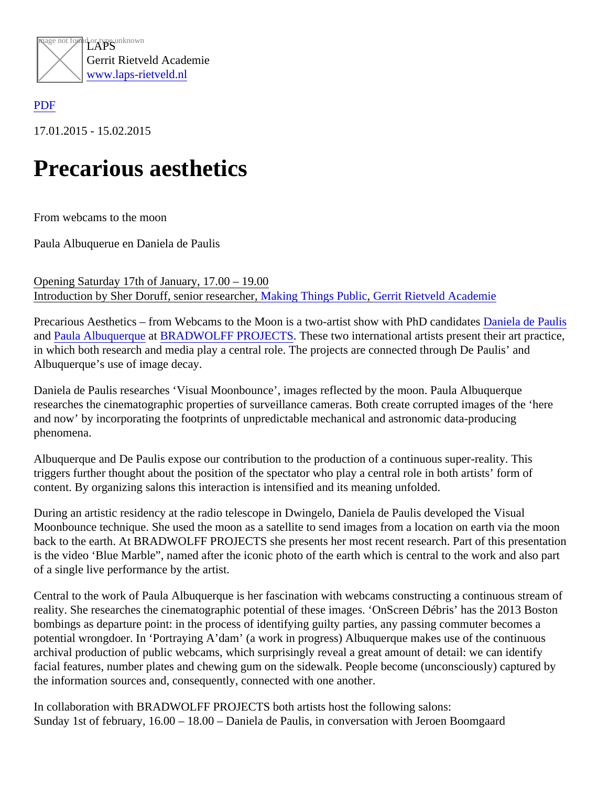

## [PDF](/web/sites/laps-rietveld.nl/www/wp-content/plugins/press-to-pdf/../../../wp-content/plugins/press-to-pdf/)

17.01.2015 - 15.02.2015

## Precarious aesthetics

From webcams to the moon

Paula Albuquerue en Daniela de Paulis

Opening Saturday 17th of January, 17.00 – 19.00 Introdu[c](http://www.gerritrietveldacademie.nl/nl/)tion by Sher Doruff[,](https://laps-rietveld.nl/?pagename=en/researches) senior researcher, Things Public [Gerrit Rietveld Academi](http://www.gerritrietveldacademie.nl/nl/)e

Precarious Aesthetics – from Webcams to the Moon is a two-artist show with PhD candidates de Paulis an[d Paula Albuquerqu](https://laps-rietveld.nl/?p=2640)atBRADWOLFF PROJECTSThese two international artists present their art practice, in which both research and media play a central role. The projects are connected through De Paulis' and Albuquerque's use of image decay.

Daniela de Paulis researches 'Visual Moonbounce', images reflected by the moon. Paula Albuquerque researches the cinematographic properties of surveillance cameras. Both create corrupted images of the 'her and now' by incorporating the footprints of unpredictable mechanical and astronomic data-producing phenomena.

Albuquerque and De Paulis expose our contribution to the production of a continuous super-reality. This triggers further thought about the position of the spectator who play a central role in both artists' form of content. By organizing salons this interaction is intensified and its meaning unfolded.

During an artistic residency at the radio telescope in Dwingelo, Daniela de Paulis developed the Visual Moonbounce technique. She used the moon as a satellite to send images from a location on earth via the mo back to the earth. At BRADWOLFF PROJECTS she presents her most recent research. Part of this presentation is the video 'Blue Marble", named after the iconic photo of the earth which is central to the work and also part of a single live performance by the artist.

Central to the work of Paula Albuquerque is her fascination with webcams constructing a continuous stream of reality. She researches the cinematographic potential of these images. 'OnScreen Débris' has the 2013 Boston bombings as departure point: in the process of identifying guilty parties, any passing commuter becomes a potential wrongdoer. In 'Portraying A'dam' (a work in progress) Albuquerque makes use of the continuous archival production of public webcams, which surprisingly reveal a great amount of detail: we can identify facial features, number plates and chewing gum on the sidewalk. People become (unconsciously) captured b the information sources and, consequently, connected with one another.

In collaboration with BRADWOLFF PROJECTS both artists host the following salons: Sunday 1st of february, 16.00 – 18.00 – Daniela de Paulis, in conversation with Jeroen Boomgaard